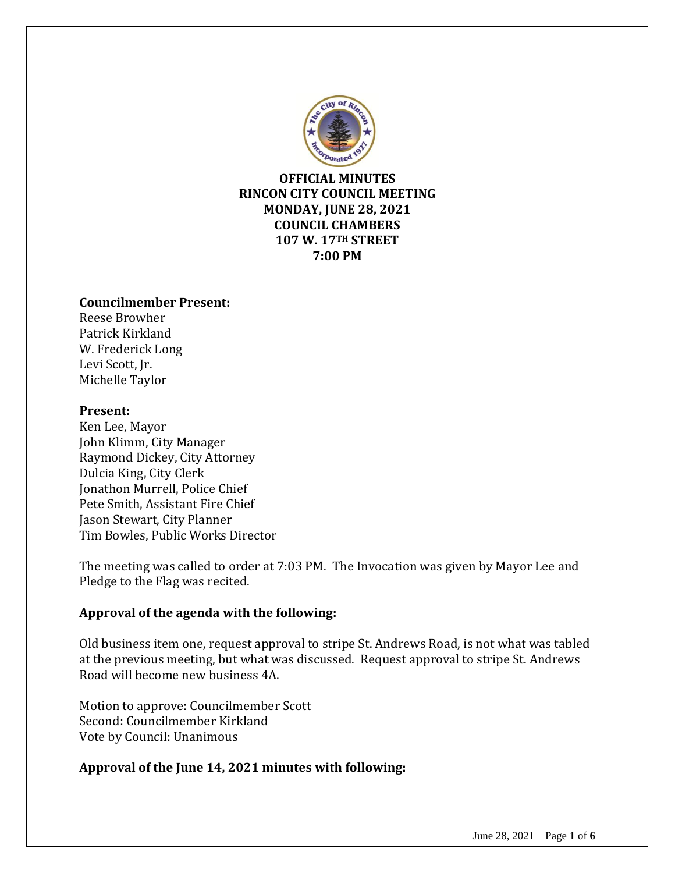

**OFFICIAL MINUTES RINCON CITY COUNCIL MEETING MONDAY, JUNE 28, 2021 COUNCIL CHAMBERS 107 W. 17TH STREET 7:00 PM**

### **Councilmember Present:**

Reese Browher Patrick Kirkland W. Frederick Long Levi Scott, Jr. Michelle Taylor

### **Present:**

Ken Lee, Mayor John Klimm, City Manager Raymond Dickey, City Attorney Dulcia King, City Clerk Jonathon Murrell, Police Chief Pete Smith, Assistant Fire Chief Jason Stewart, City Planner Tim Bowles, Public Works Director

The meeting was called to order at 7:03 PM. The Invocation was given by Mayor Lee and Pledge to the Flag was recited.

## **Approval of the agenda with the following:**

Old business item one, request approval to stripe St. Andrews Road, is not what was tabled at the previous meeting, but what was discussed. Request approval to stripe St. Andrews Road will become new business 4A.

Motion to approve: Councilmember Scott Second: Councilmember Kirkland Vote by Council: Unanimous

## **Approval of the June 14, 2021 minutes with following:**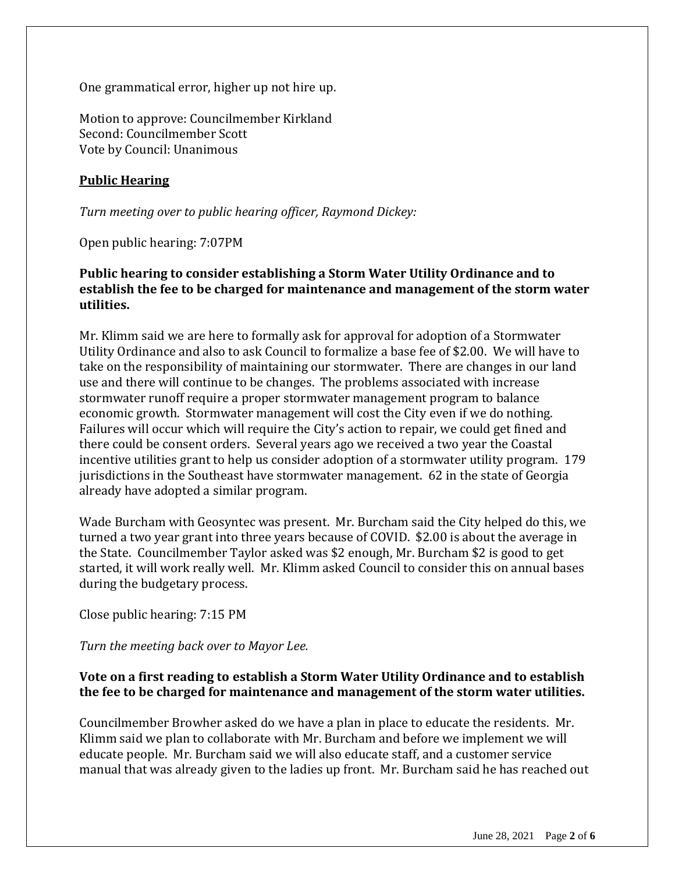One grammatical error, higher up not hire up.

Motion to approve: Councilmember Kirkland Second: Councilmember Scott Vote by Council: Unanimous

## **Public Hearing**

*Turn meeting over to public hearing officer, Raymond Dickey:*

Open public hearing: 7:07PM

## **Public hearing to consider establishing a Storm Water Utility Ordinance and to establish the fee to be charged for maintenance and management of the storm water utilities.**

Mr. Klimm said we are here to formally ask for approval for adoption of a Stormwater Utility Ordinance and also to ask Council to formalize a base fee of \$2.00. We will have to take on the responsibility of maintaining our stormwater. There are changes in our land use and there will continue to be changes. The problems associated with increase stormwater runoff require a proper stormwater management program to balance economic growth. Stormwater management will cost the City even if we do nothing. Failures will occur which will require the City's action to repair, we could get fined and there could be consent orders. Several years ago we received a two year the Coastal incentive utilities grant to help us consider adoption of a stormwater utility program. 179 jurisdictions in the Southeast have stormwater management. 62 in the state of Georgia already have adopted a similar program.

Wade Burcham with Geosyntec was present. Mr. Burcham said the City helped do this, we turned a two year grant into three years because of COVID. \$2.00 is about the average in the State. Councilmember Taylor asked was \$2 enough, Mr. Burcham \$2 is good to get started, it will work really well. Mr. Klimm asked Council to consider this on annual bases during the budgetary process.

### Close public hearing: 7:15 PM

### *Turn the meeting back over to Mayor Lee.*

## **Vote on a first reading to establish a Storm Water Utility Ordinance and to establish the fee to be charged for maintenance and management of the storm water utilities.**

Councilmember Browher asked do we have a plan in place to educate the residents. Mr. Klimm said we plan to collaborate with Mr. Burcham and before we implement we will educate people. Mr. Burcham said we will also educate staff, and a customer service manual that was already given to the ladies up front. Mr. Burcham said he has reached out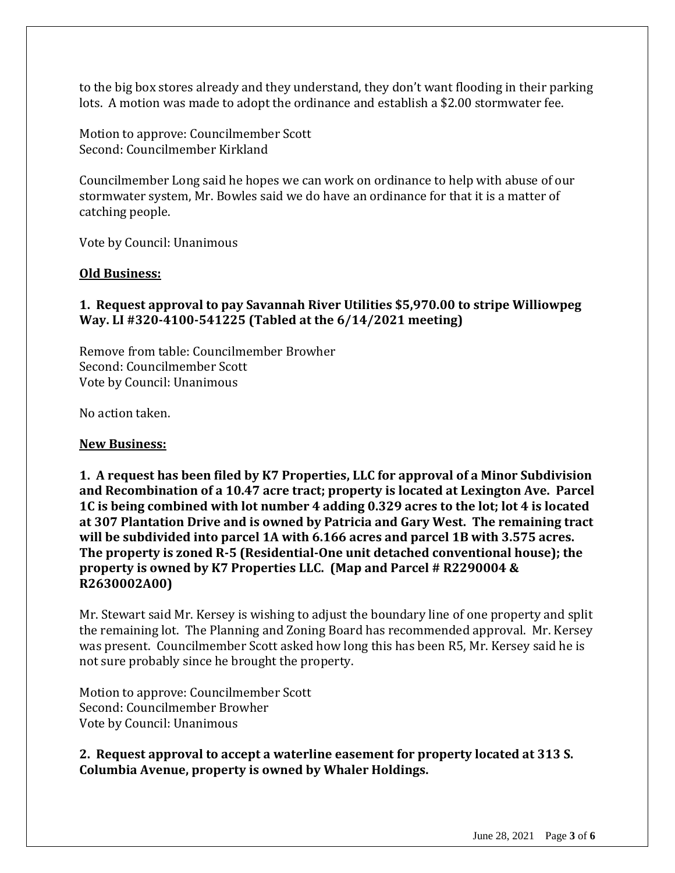to the big box stores already and they understand, they don't want flooding in their parking lots. A motion was made to adopt the ordinance and establish a \$2.00 stormwater fee.

Motion to approve: Councilmember Scott Second: Councilmember Kirkland

Councilmember Long said he hopes we can work on ordinance to help with abuse of our stormwater system, Mr. Bowles said we do have an ordinance for that it is a matter of catching people.

Vote by Council: Unanimous

### **Old Business:**

# **1. Request approval to pay Savannah River Utilities \$5,970.00 to stripe Williowpeg Way. LI #320-4100-541225 (Tabled at the 6/14/2021 meeting)**

Remove from table: Councilmember Browher Second: Councilmember Scott Vote by Council: Unanimous

No action taken.

### **New Business:**

**1. A request has been filed by K7 Properties, LLC for approval of a Minor Subdivision and Recombination of a 10.47 acre tract; property is located at Lexington Ave. Parcel 1C is being combined with lot number 4 adding 0.329 acres to the lot; lot 4 is located at 307 Plantation Drive and is owned by Patricia and Gary West. The remaining tract will be subdivided into parcel 1A with 6.166 acres and parcel 1B with 3.575 acres. The property is zoned R-5 (Residential-One unit detached conventional house); the property is owned by K7 Properties LLC. (Map and Parcel # R2290004 & R2630002A00)**

Mr. Stewart said Mr. Kersey is wishing to adjust the boundary line of one property and split the remaining lot. The Planning and Zoning Board has recommended approval. Mr. Kersey was present. Councilmember Scott asked how long this has been R5, Mr. Kersey said he is not sure probably since he brought the property.

Motion to approve: Councilmember Scott Second: Councilmember Browher Vote by Council: Unanimous

**2. Request approval to accept a waterline easement for property located at 313 S. Columbia Avenue, property is owned by Whaler Holdings.**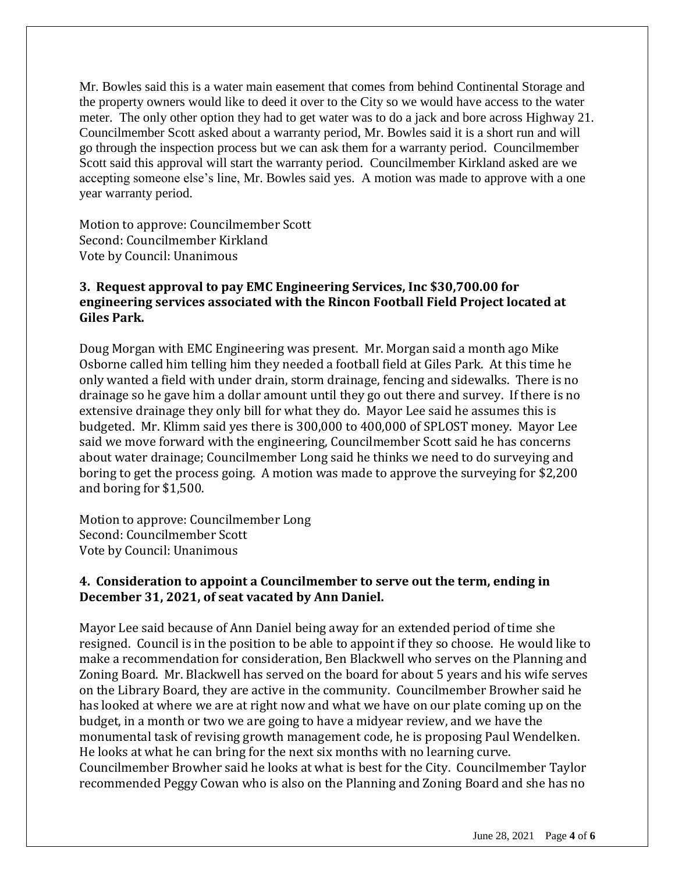Mr. Bowles said this is a water main easement that comes from behind Continental Storage and the property owners would like to deed it over to the City so we would have access to the water meter. The only other option they had to get water was to do a jack and bore across Highway 21. Councilmember Scott asked about a warranty period, Mr. Bowles said it is a short run and will go through the inspection process but we can ask them for a warranty period. Councilmember Scott said this approval will start the warranty period. Councilmember Kirkland asked are we accepting someone else's line, Mr. Bowles said yes. A motion was made to approve with a one year warranty period.

Motion to approve: Councilmember Scott Second: Councilmember Kirkland Vote by Council: Unanimous

# **3. Request approval to pay EMC Engineering Services, Inc \$30,700.00 for engineering services associated with the Rincon Football Field Project located at Giles Park.**

Doug Morgan with EMC Engineering was present. Mr. Morgan said a month ago Mike Osborne called him telling him they needed a football field at Giles Park. At this time he only wanted a field with under drain, storm drainage, fencing and sidewalks. There is no drainage so he gave him a dollar amount until they go out there and survey. If there is no extensive drainage they only bill for what they do. Mayor Lee said he assumes this is budgeted. Mr. Klimm said yes there is 300,000 to 400,000 of SPLOST money. Mayor Lee said we move forward with the engineering, Councilmember Scott said he has concerns about water drainage; Councilmember Long said he thinks we need to do surveying and boring to get the process going. A motion was made to approve the surveying for \$2,200 and boring for \$1,500.

Motion to approve: Councilmember Long Second: Councilmember Scott Vote by Council: Unanimous

## **4. Consideration to appoint a Councilmember to serve out the term, ending in December 31, 2021, of seat vacated by Ann Daniel.**

Mayor Lee said because of Ann Daniel being away for an extended period of time she resigned. Council is in the position to be able to appoint if they so choose. He would like to make a recommendation for consideration, Ben Blackwell who serves on the Planning and Zoning Board. Mr. Blackwell has served on the board for about 5 years and his wife serves on the Library Board, they are active in the community. Councilmember Browher said he has looked at where we are at right now and what we have on our plate coming up on the budget, in a month or two we are going to have a midyear review, and we have the monumental task of revising growth management code, he is proposing Paul Wendelken. He looks at what he can bring for the next six months with no learning curve. Councilmember Browher said he looks at what is best for the City. Councilmember Taylor recommended Peggy Cowan who is also on the Planning and Zoning Board and she has no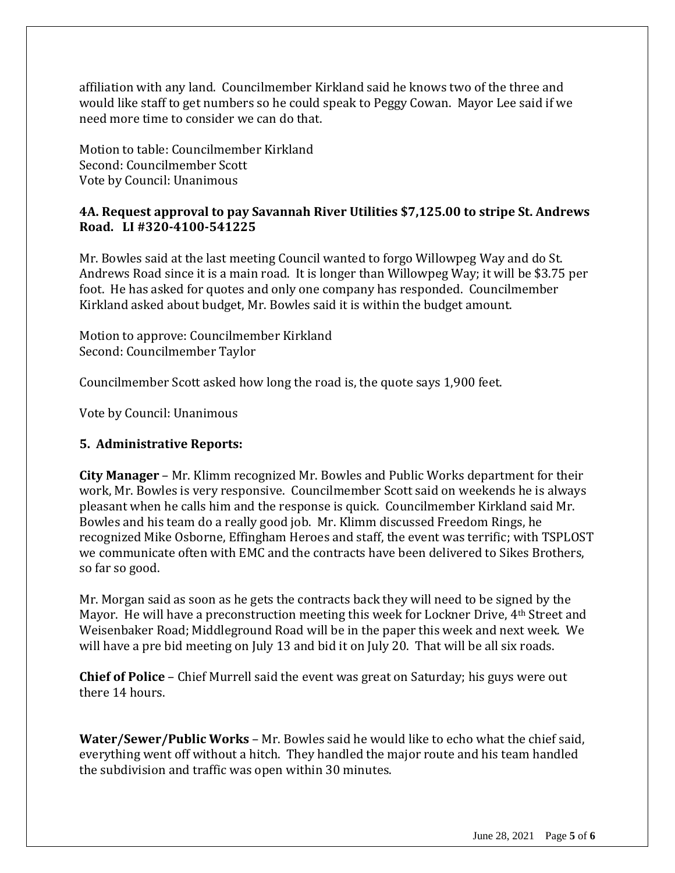affiliation with any land. Councilmember Kirkland said he knows two of the three and would like staff to get numbers so he could speak to Peggy Cowan. Mayor Lee said if we need more time to consider we can do that.

Motion to table: Councilmember Kirkland Second: Councilmember Scott Vote by Council: Unanimous

## **4A. Request approval to pay Savannah River Utilities \$7,125.00 to stripe St. Andrews Road. LI #320-4100-541225**

Mr. Bowles said at the last meeting Council wanted to forgo Willowpeg Way and do St. Andrews Road since it is a main road. It is longer than Willowpeg Way; it will be \$3.75 per foot. He has asked for quotes and only one company has responded. Councilmember Kirkland asked about budget, Mr. Bowles said it is within the budget amount.

Motion to approve: Councilmember Kirkland Second: Councilmember Taylor

Councilmember Scott asked how long the road is, the quote says 1,900 feet.

Vote by Council: Unanimous

## **5. Administrative Reports:**

**City Manager** – Mr. Klimm recognized Mr. Bowles and Public Works department for their work, Mr. Bowles is very responsive. Councilmember Scott said on weekends he is always pleasant when he calls him and the response is quick. Councilmember Kirkland said Mr. Bowles and his team do a really good job. Mr. Klimm discussed Freedom Rings, he recognized Mike Osborne, Effingham Heroes and staff, the event was terrific; with TSPLOST we communicate often with EMC and the contracts have been delivered to Sikes Brothers, so far so good.

Mr. Morgan said as soon as he gets the contracts back they will need to be signed by the Mayor. He will have a preconstruction meeting this week for Lockner Drive, 4th Street and Weisenbaker Road; Middleground Road will be in the paper this week and next week. We will have a pre bid meeting on July 13 and bid it on July 20. That will be all six roads.

**Chief of Police** – Chief Murrell said the event was great on Saturday; his guys were out there 14 hours.

**Water/Sewer/Public Works** – Mr. Bowles said he would like to echo what the chief said, everything went off without a hitch. They handled the major route and his team handled the subdivision and traffic was open within 30 minutes.